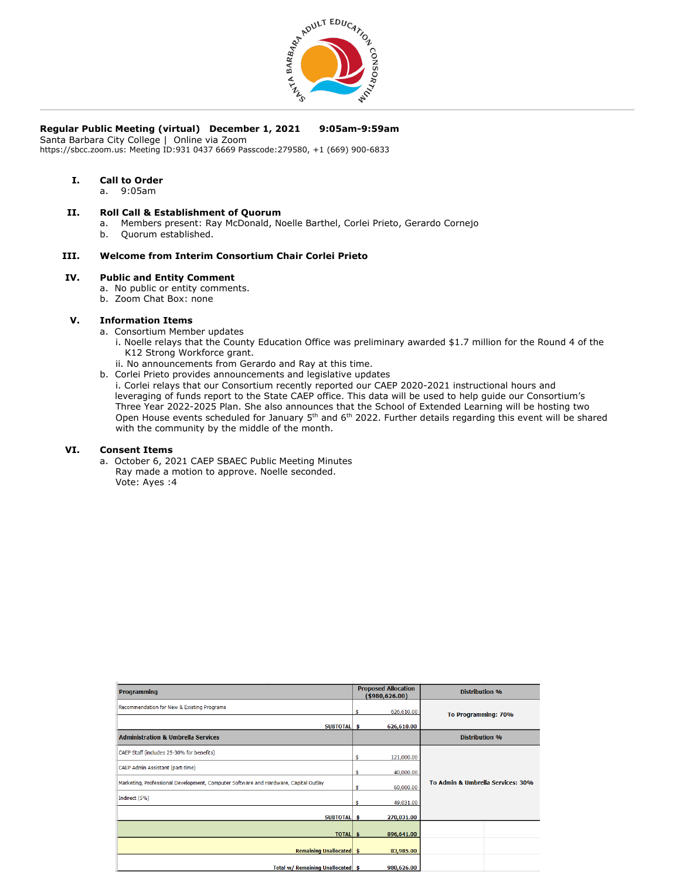

# **Regular Public Meeting (virtual) December 1, 2021 9:05am-9:59am**

Santa Barbara City College | Online via Zoom

https://sbcc.zoom.us: Meeting ID:931 0437 6669 Passcode:279580, +1 (669) 900-6833

# **I. Call to Order**

a. 9:05am

## **II. Roll Call & Establishment of Quorum**

- a. Members present: Ray McDonald, Noelle Barthel, Corlei Prieto, Gerardo Cornejo
- b. Quorum established.

# **III. Welcome from Interim Consortium Chair Corlei Prieto**

#### **IV. Public and Entity Comment**

- a. No public or entity comments.
	- b. Zoom Chat Box: none

### **V. Information Items**

- a. Consortium Member updates
	- i. Noelle relays that the County Education Office was preliminary awarded \$1.7 million for the Round 4 of the K12 Strong Workforce grant.
	- ii. No announcements from Gerardo and Ray at this time.
- b. Corlei Prieto provides announcements and legislative updates
- i. Corlei relays that our Consortium recently reported our CAEP 2020-2021 instructional hours and leveraging of funds report to the State CAEP office. This data will be used to help guide our Consortium's Three Year 2022-2025 Plan. She also announces that the School of Extended Learning will be hosting two Open House events scheduled for January 5<sup>th</sup> and 6<sup>th</sup> 2022. Further details regarding this event will be shared with the community by the middle of the month.

### **VI. Consent Items**

a. October 6, 2021 CAEP SBAEC Public Meeting Minutes Ray made a motion to approve. Noelle seconded. Vote: Ayes :4

| <b>Programming</b>                                                                  | <b>Proposed Allocation</b><br>( \$980, 626.00) |            | <b>Distribution %</b>             |
|-------------------------------------------------------------------------------------|------------------------------------------------|------------|-----------------------------------|
| Recommendation for New & Existing Programs                                          |                                                | 626,610.00 | To Programming: 70%               |
| SUBTOTAL \$                                                                         |                                                | 626,610.00 |                                   |
| <b>Administration &amp; Umbrella Services</b>                                       |                                                |            | <b>Distribution %</b>             |
| CAEP Staff (includes 25-30% for benefits)                                           | ¢                                              | 121,000.00 |                                   |
| CAEP Admin Assistant (part-time)                                                    | Ś.                                             | 40,000.00  | To Admin & Umbrella Services: 30% |
| Marketing, Professional Development, Computer Software and Hardware, Capital Outlay | \$.                                            | 60,000.00  |                                   |
| Indirect (5%)                                                                       | s.                                             | 49,031.00  |                                   |
| SUBTOTAL \$                                                                         |                                                | 270,031.00 |                                   |
| TOTAL \$                                                                            |                                                | 896,641.00 |                                   |
| <b>Remaining Unallocated \$</b>                                                     |                                                | 83,985.00  |                                   |
| Total w/ Remaining Unallocated   \$                                                 |                                                | 980,626.00 |                                   |